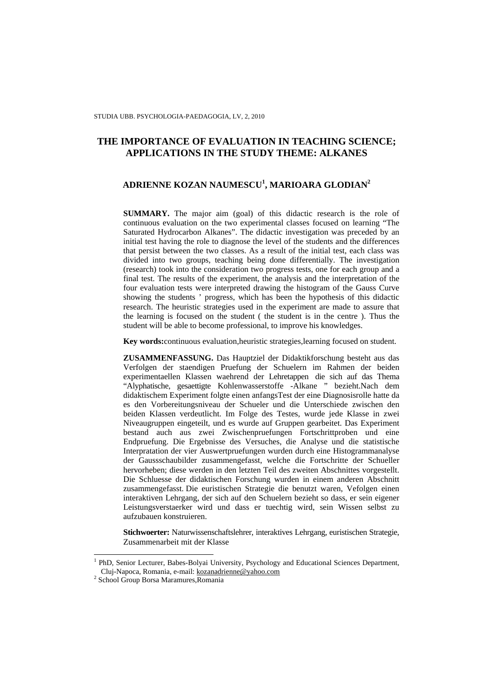# **THE IMPORTANCE OF EVALUATION IN TEACHING SCIENCE; APPLICATIONS IN THE STUDY THEME: ALKANES**

## **ADRIENNE KOZAN NAUMESCU<sup>1</sup> , MARIOARA GLODIAN<sup>2</sup>**

**SUMMARY.** The major aim (goal) of this didactic research is the role of continuous evaluation on the two experimental classes focused on learning "The Saturated Hydrocarbon Alkanes". The didactic investigation was preceded by an initial test having the role to diagnose the level of the students and the differences that persist between the two classes. As a result of the initial test, each class was divided into two groups, teaching being done differentially. The investigation (research) took into the consideration two progress tests, one for each group and a final test. The results of the experiment, the analysis and the interpretation of the four evaluation tests were interpreted drawing the histogram of the Gauss Curve showing the students ' progress, which has been the hypothesis of this didactic research. The heuristic strategies used in the experiment are made to assure that the learning is focused on the student ( the student is in the centre ). Thus the student will be able to become professional, to improve his knowledges.

**Key words:**continuous evaluation,heuristic strategies,learning focused on student.

**ZUSAMMENFASSUNG.** Das Hauptziel der Didaktikforschung besteht aus das Verfolgen der staendigen Pruefung der Schuelern im Rahmen der beiden experimentaellen Klassen waehrend der Lehretappen die sich auf das Thema "Alyphatische, gesaettigte Kohlenwasserstoffe -Alkane " bezieht.Nach dem didaktischem Experiment folgte einen anfangsTest der eine Diagnosisrolle hatte da es den Vorbereitungsniveau der Schueler und die Unterschiede zwischen den beiden Klassen verdeutlicht. Im Folge des Testes, wurde jede Klasse in zwei Niveaugruppen eingeteilt, und es wurde auf Gruppen gearbeitet. Das Experiment bestand auch aus zwei Zwischenpruefungen Fortschrittproben und eine Endpruefung. Die Ergebnisse des Versuches, die Analyse und die statistische Interpratation der vier Auswertpruefungen wurden durch eine Histogrammanalyse der Gaussschaubilder zusammengefasst, welche die Fortschritte der Schueller hervorheben; diese werden in den letzten Teil des zweiten Abschnittes vorgestellt. Die Schluesse der didaktischen Forschung wurden in einem anderen Abschnitt zusammengefasst. Die euristischen Strategie die benutzt waren, Vefolgen einen interaktiven Lehrgang, der sich auf den Schuelern bezieht so dass, er sein eigener Leistungsverstaerker wird und dass er tuechtig wird, sein Wissen selbst zu aufzubauen konstruieren.

**Stichwoerter:** Naturwissenschaftslehrer, interaktives Lehrgang, euristischen Strategie, Zusammenarbeit mit der Klasse

<sup>&</sup>lt;sup>1</sup> PhD, Senior Lecturer, Babes-Bolyai University, Psychology and Educational Sciences Department, Cluj-Napoca, Romania, e-mail: kozanadrienne@yahoo.com

<sup>2</sup> School Group Borsa Maramures,Romania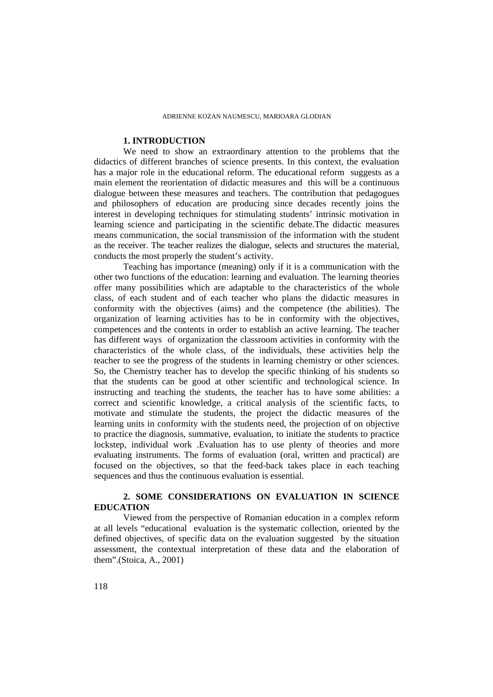## **1. INTRODUCTION**

We need to show an extraordinary attention to the problems that the didactics of different branches of science presents. In this context, the evaluation has a major role in the educational reform. The educational reform suggests as a main element the reorientation of didactic measures and this will be a continuous dialogue between these measures and teachers. The contribution that pedagogues and philosophers of education are producing since decades recently joins the interest in developing techniques for stimulating students' intrinsic motivation in learning science and participating in the scientific debate.The didactic measures means communication, the social transmission of the information with the student as the receiver. The teacher realizes the dialogue, selects and structures the material, conducts the most properly the student's activity.

Teaching has importance (meaning) only if it is a communication with the other two functions of the education: learning and evaluation. The learning theories offer many possibilities which are adaptable to the characteristics of the whole class, of each student and of each teacher who plans the didactic measures in conformity with the objectives (aims) and the competence (the abilities). The organization of learning activities has to be in conformity with the objectives, competences and the contents in order to establish an active learning. The teacher has different ways of organization the classroom activities in conformity with the characteristics of the whole class, of the individuals, these activities help the teacher to see the progress of the students in learning chemistry or other sciences. So, the Chemistry teacher has to develop the specific thinking of his students so that the students can be good at other scientific and technological science. In instructing and teaching the students, the teacher has to have some abilities: a correct and scientific knowledge, a critical analysis of the scientific facts, to motivate and stimulate the students, the project the didactic measures of the learning units in conformity with the students need, the projection of on objective to practice the diagnosis, summative, evaluation, to initiate the students to practice lockstep, individual work .Evaluation has to use plenty of theories and more evaluating instruments. The forms of evaluation (oral, written and practical) are focused on the objectives, so that the feed-back takes place in each teaching sequences and thus the continuous evaluation is essential.

## **2. SOME CONSIDERATIONS ON EVALUATION IN SCIENCE EDUCATION**

Viewed from the perspective of Romanian education in a complex reform at all levels "educational evaluation is the systematic collection, oriented by the defined objectives, of specific data on the evaluation suggested by the situation assessment, the contextual interpretation of these data and the elaboration of them".(Stoica, A., 2001)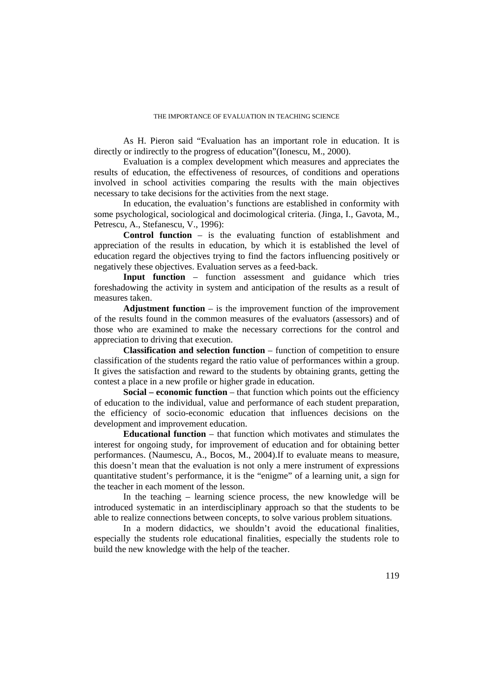As H. Pieron said "Evaluation has an important role in education. It is directly or indirectly to the progress of education"(Ionescu, M., 2000).

Evaluation is a complex development which measures and appreciates the results of education, the effectiveness of resources, of conditions and operations involved in school activities comparing the results with the main objectives necessary to take decisions for the activities from the next stage.

In education, the evaluation's functions are established in conformity with some psychological, sociological and docimological criteria. (Jinga, I., Gavota, M., Petrescu, A., Stefanescu, V., 1996):

**Control function** – is the evaluating function of establishment and appreciation of the results in education, by which it is established the level of education regard the objectives trying to find the factors influencing positively or negatively these objectives. Evaluation serves as a feed-back.

**Input function** – function assessment and guidance which tries foreshadowing the activity in system and anticipation of the results as a result of measures taken.

**Adjustment function** – is the improvement function of the improvement of the results found in the common measures of the evaluators (assessors) and of those who are examined to make the necessary corrections for the control and appreciation to driving that execution.

**Classification and selection function** – function of competition to ensure classification of the students regard the ratio value of performances within a group. It gives the satisfaction and reward to the students by obtaining grants, getting the contest a place in a new profile or higher grade in education.

**Social – economic function** – that function which points out the efficiency of education to the individual, value and performance of each student preparation, the efficiency of socio-economic education that influences decisions on the development and improvement education.

**Educational function** – that function which motivates and stimulates the interest for ongoing study, for improvement of education and for obtaining better performances. (Naumescu, A., Bocos, M., 2004).If to evaluate means to measure, this doesn't mean that the evaluation is not only a mere instrument of expressions quantitative student's performance, it is the "enigme" of a learning unit, a sign for the teacher in each moment of the lesson.

In the teaching – learning science process, the new knowledge will be introduced systematic in an interdisciplinary approach so that the students to be able to realize connections between concepts, to solve various problem situations.

In a modern didactics, we shouldn't avoid the educational finalities, especially the students role educational finalities, especially the students role to build the new knowledge with the help of the teacher.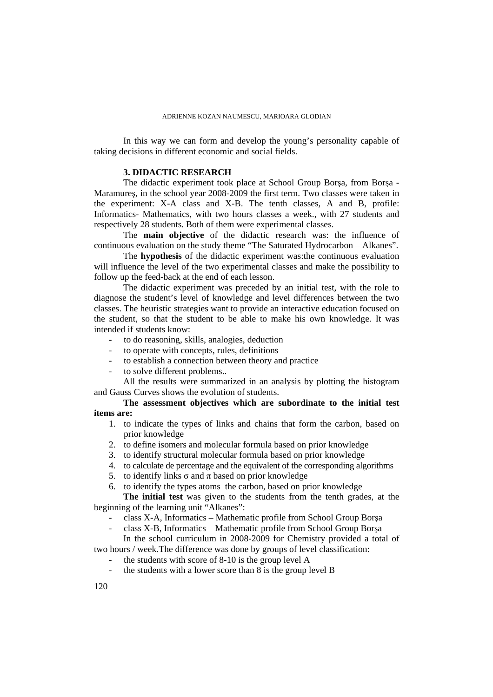In this way we can form and develop the young's personality capable of taking decisions in different economic and social fields.

## **3. DIDACTIC RESEARCH**

The didactic experiment took place at School Group Borşa, from Borşa - Maramureş, in the school year 2008-2009 the first term. Two classes were taken in the experiment: X-A class and X-B. The tenth classes, A and B, profile: Informatics- Mathematics, with two hours classes a week., with 27 students and respectively 28 students. Both of them were experimental classes.

The **main objective** of the didactic research was: the influence of continuous evaluation on the study theme "The Saturated Hydrocarbon – Alkanes".

The **hypothesis** of the didactic experiment was:the continuous evaluation will influence the level of the two experimental classes and make the possibility to follow up the feed-back at the end of each lesson.

The didactic experiment was preceded by an initial test, with the role to diagnose the student's level of knowledge and level differences between the two classes. The heuristic strategies want to provide an interactive education focused on the student, so that the student to be able to make his own knowledge. It was intended if students know:

- to do reasoning, skills, analogies, deduction
- to operate with concepts, rules, definitions
- to establish a connection between theory and practice
- to solve different problems..

All the results were summarized in an analysis by plotting the histogram and Gauss Curves shows the evolution of students.

## **The assessment objectives which are subordinate to the initial test items are:**

- 1. to indicate the types of links and chains that form the carbon, based on prior knowledge
- 2. to define isomers and molecular formula based on prior knowledge
- 3. to identify structural molecular formula based on prior knowledge
- 4. to calculate de percentage and the equivalent of the corresponding algorithms
- 5. to identify links σ and π based on prior knowledge
- 6. to identify the types atoms the carbon, based on prior knowledge

**The initial test** was given to the students from the tenth grades, at the beginning of the learning unit "Alkanes":

- class X-A, Informatics Mathematic profile from School Group Borşa
- class X-B, Informatics Mathematic profile from School Group Borşa

In the school curriculum in 2008-2009 for Chemistry provided a total of two hours / week.The difference was done by groups of level classification:

- the students with score of  $8-10$  is the group level A
- the students with a lower score than  $8$  is the group level  $B$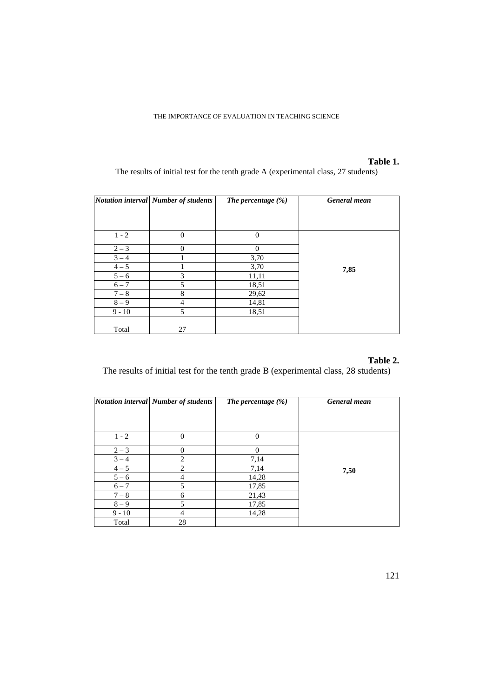## **Table 1.**

The results of initial test for the tenth grade A (experimental class, 27 students)

|          | Notation interval Number of students | The percentage $(\%)$ | General mean |
|----------|--------------------------------------|-----------------------|--------------|
|          |                                      |                       |              |
| $1 - 2$  | $\Omega$                             | $\theta$              |              |
| $2 - 3$  | $\Omega$                             | $\Omega$              |              |
| $3 - 4$  |                                      | 3,70                  |              |
| $4 - 5$  |                                      | 3,70                  | 7,85         |
| $5 - 6$  | 3                                    | 11,11                 |              |
| $6 - 7$  | 5                                    | 18,51                 |              |
| $7 - 8$  | 8                                    | 29,62                 |              |
| $8 - 9$  | 4                                    | 14,81                 |              |
| $9 - 10$ | 5                                    | 18,51                 |              |
|          |                                      |                       |              |
| Total    | 27                                   |                       |              |

# **Table 2.**

The results of initial test for the tenth grade B (experimental class, 28 students)

|          | <b>Notation interval Number of students</b> | The percentage $(\%)$ | <b>General</b> mean |
|----------|---------------------------------------------|-----------------------|---------------------|
|          |                                             |                       |                     |
|          |                                             |                       |                     |
| $1 - 2$  | $\theta$                                    | $\theta$              |                     |
| $2 - 3$  | $\Omega$                                    | $\Omega$              |                     |
| $3 - 4$  | 2                                           | 7,14                  |                     |
| $4 - 5$  | 2                                           | 7,14                  | 7,50                |
| $5 - 6$  | 4                                           | 14,28                 |                     |
| $6 - 7$  | 5                                           | 17,85                 |                     |
| $7 - 8$  | 6                                           | 21,43                 |                     |
| $8 - 9$  | 5                                           | 17,85                 |                     |
| $9 - 10$ | 4                                           | 14,28                 |                     |
| Total    | 28                                          |                       |                     |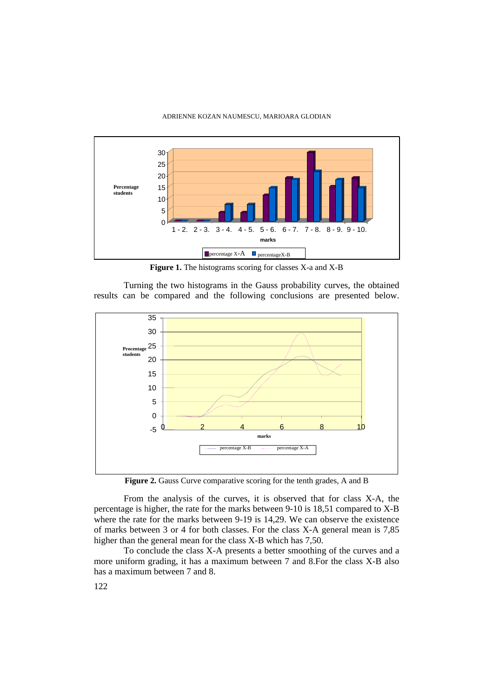

**Figure 1.** The histograms scoring for classes X-a and X-B

Turning the two histograms in the Gauss probability curves, the obtained results can be compared and the following conclusions are presented below.



**Figure 2.** Gauss Curve comparative scoring for the tenth grades, A and B

From the analysis of the curves, it is observed that for class X-A, the percentage is higher, the rate for the marks between 9-10 is 18,51 compared to X-B where the rate for the marks between 9-19 is 14,29. We can observe the existence of marks between 3 or 4 for both classes. For the class X-A general mean is 7,85 higher than the general mean for the class X-B which has 7,50.

To conclude the class X-A presents a better smoothing of the curves and a more uniform grading, it has a maximum between 7 and 8.For the class X-B also has a maximum between 7 and 8.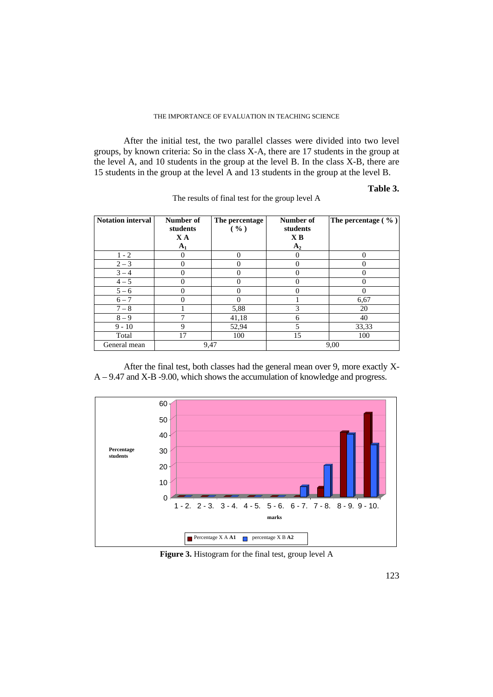After the initial test, the two parallel classes were divided into two level groups, by known criteria: So in the class X-A, there are 17 students in the group at the level A, and 10 students in the group at the level B. In the class X-B, there are 15 students in the group at the level A and 13 students in the group at the level B.

## **Table 3.**

| <b>Notation interval</b> | Number of<br>students<br>XA<br>$A_1$ | The percentage<br>( %) | Number of<br>students<br>X <sub>B</sub><br>$A_2$ | The percentage $(\% )$ |
|--------------------------|--------------------------------------|------------------------|--------------------------------------------------|------------------------|
| $1 - 2$                  | 0                                    | 0                      | 0                                                | $\Omega$               |
| $2 - 3$                  | 0                                    |                        | $\theta$                                         | $\theta$               |
| $3 - 4$                  | 0                                    |                        | $\Omega$                                         | 0                      |
| $4 - 5$                  | 0                                    |                        | 0                                                | 0                      |
| $5 - 6$                  | 0                                    |                        | 0                                                | $\Omega$               |
| $6 - 7$                  | 0                                    |                        |                                                  | 6,67                   |
| $7 - 8$                  |                                      | 5,88                   | 3                                                | 20                     |
| $8 - 9$                  | 7                                    | 41,18                  | 6                                                | 40                     |
| $9 - 10$                 | 9                                    | 52,94                  | 5                                                | 33,33                  |
| Total                    | 17                                   | 100                    | 15                                               | 100                    |
| General mean             | 9,47                                 |                        |                                                  | 9,00                   |

The results of final test for the group level A

After the final test, both classes had the general mean over 9, more exactly X- $A - 9.47$  and  $X - B - 9.00$ , which shows the accumulation of knowledge and progress.



**Figure 3.** Histogram for the final test, group level A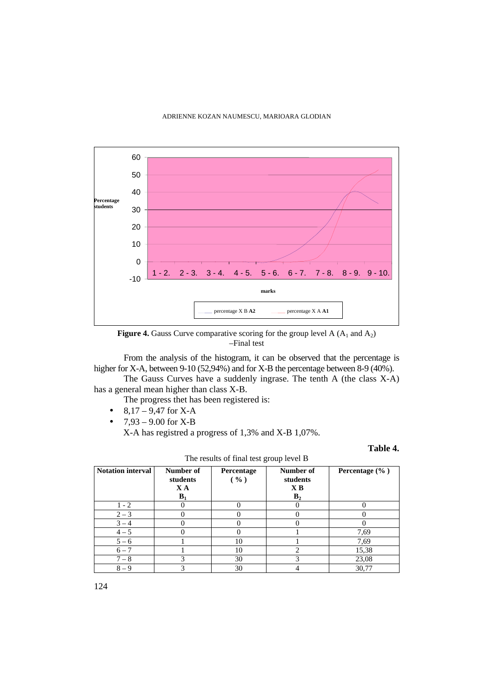

**Figure 4.** Gauss Curve comparative scoring for the group level A  $(A_1 \text{ and } A_2)$ –Final test

From the analysis of the histogram, it can be observed that the percentage is higher for X-A, between 9-10 (52,94%) and for X-B the percentage between 8-9 (40%).

The Gauss Curves have a suddenly ingrase. The tenth A (the class X-A) has a general mean higher than class X-B.

The progress thet has been registered is:

- $8,17 9,47$  for X-A
- $7.93 9.00$  for X-B X-A has registred a progress of 1,3% and X-B 1,07%.

**Table 4.** 

|                          |                                      |                    | . .                                                         |                    |
|--------------------------|--------------------------------------|--------------------|-------------------------------------------------------------|--------------------|
| <b>Notation interval</b> | Number of<br>students<br>XA<br>$B_1$ | Percentage<br>( %) | Number of<br>students<br>$\mathbf{X}$ $\mathbf{B}$<br>$B_2$ | Percentage $(\% )$ |
| $1 - 2$                  |                                      |                    |                                                             |                    |
|                          |                                      |                    |                                                             |                    |
| $2 - 3$                  |                                      |                    |                                                             |                    |
| $3 - 4$                  |                                      |                    |                                                             |                    |
| $4 - 5$                  |                                      |                    |                                                             | 7,69               |
| $5 - 6$                  |                                      | 10                 |                                                             | 7,69               |
| $6 - 7$                  |                                      | 10                 |                                                             | 15,38              |
| $7 - 8$                  |                                      | 30                 | 3                                                           | 23,08              |
| $8 - 9$                  |                                      | 30                 |                                                             | 30,77              |

The results of final test group level B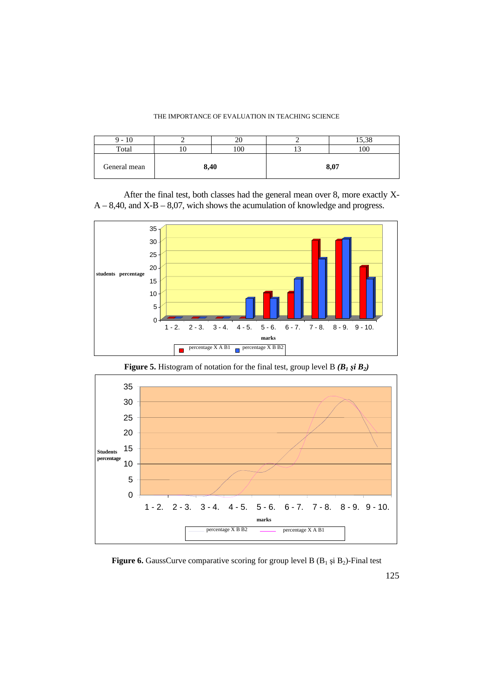| $-10$        |      |    |      | 5.38<br>10.JU |
|--------------|------|----|------|---------------|
| Total        |      | 00 |      | 100           |
| General mean | 8,40 |    | 8,07 |               |

After the final test, both classes had the general mean over 8, more exactly X- $A - 8,40$ , and  $X - B - 8,07$ , wich shows the acumulation of knowledge and progress.



**Figure 5.** Histogram of notation for the final test, group level B *(B<sup>1</sup>* ş*i B2)* 



**Figure 6.** GaussCurve comparative scoring for group level B  $(B_1 \text{ și } B_2)$ -Final test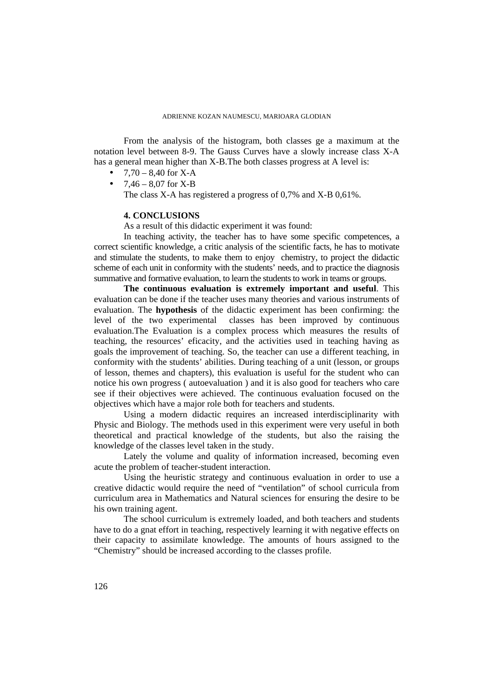From the analysis of the histogram, both classes ge a maximum at the notation level between 8-9. The Gauss Curves have a slowly increase class X-A has a general mean higher than X-B.The both classes progress at A level is:

- $7,70 8,40$  for X-A
- $7.46 8.07$  for X-B

The class X-A has registered a progress of 0,7% and X-B 0,61%.

### **4. CONCLUSIONS**

As a result of this didactic experiment it was found:

In teaching activity, the teacher has to have some specific competences, a correct scientific knowledge, a critic analysis of the scientific facts, he has to motivate and stimulate the students, to make them to enjoy chemistry, to project the didactic scheme of each unit in conformity with the students' needs, and to practice the diagnosis summative and formative evaluation, to learn the students to work in teams or groups.

**The continuous evaluation is extremely important and useful**. This evaluation can be done if the teacher uses many theories and various instruments of evaluation. The **hypothesis** of the didactic experiment has been confirming: the level of the two experimental classes has been improved by continuous evaluation.The Evaluation is a complex process which measures the results of teaching, the resources' eficacity, and the activities used in teaching having as goals the improvement of teaching. So, the teacher can use a different teaching, in conformity with the students' abilities. During teaching of a unit (lesson, or groups of lesson, themes and chapters), this evaluation is useful for the student who can notice his own progress ( autoevaluation ) and it is also good for teachers who care see if their objectives were achieved. The continuous evaluation focused on the objectives which have a major role both for teachers and students.

Using a modern didactic requires an increased interdisciplinarity with Physic and Biology. The methods used in this experiment were very useful in both theoretical and practical knowledge of the students, but also the raising the knowledge of the classes level taken in the study.

Lately the volume and quality of information increased, becoming even acute the problem of teacher-student interaction.

Using the heuristic strategy and continuous evaluation in order to use a creative didactic would require the need of "ventilation" of school curricula from curriculum area in Mathematics and Natural sciences for ensuring the desire to be his own training agent.

The school curriculum is extremely loaded, and both teachers and students have to do a gnat effort in teaching, respectively learning it with negative effects on their capacity to assimilate knowledge. The amounts of hours assigned to the "Chemistry" should be increased according to the classes profile.